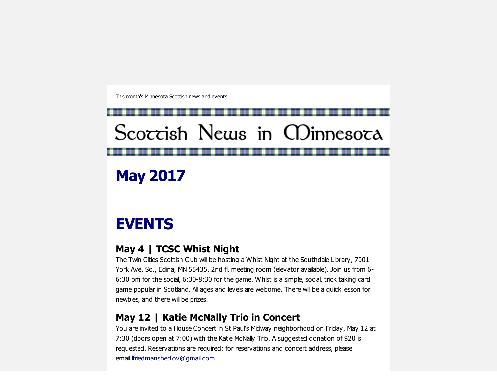This month's Minnesota Scottish news and events.

# Scoccish News in CDinnesoca

May 2017

# EVENTS

### May 4 | TCSC Whist Night

The Twin Cities Scottish Club will be hosting a Whist Night at the Southdale Library, 7001 York Ave. So., Edina, MN 55435, 2nd fl. meeting room (elevator available). Join us from 6-6:30 pm for the social, 6:30-8:30 for the game. Whist is a simple, social, trick taking card game popular in Scotland. All ages and levels are welcome. There will be a quick lesson for newbies, and there will be prizes.

### May 12 | Katie McNally Trio in Concert

You are invited to a House Concert in St Paul's Midway neighborhood on Friday, May 12 at 7:30 (doors open at 7:00) with the Katie McNally Trio. A suggested donation of \$20 is requested. Reservations are required; for reservations and concert address, please email [lfriedmanshedlov@gmail.com.](mailto:lfriedmanshedlov@gmail.com)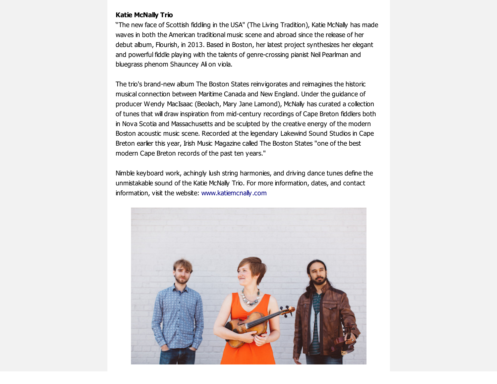#### Katie McNally Trio

"The new face of Scottish fiddling in the USA" (The Living Tradition), Katie McNally has made waves in both the American traditional music scene and abroad since the release of her debut album, Flourish, in 2013. Based in Boston, her latest project synthesizes her elegant and powerful fiddle playing with the talents of genre-crossing pianist Neil Pearlman and bluegrass phenom Shauncey Ali on viola.

The trio's brand-new album The Boston States reinvigorates and reimagines the historic musical connection between Maritime Canada and New England. Under the guidance of producer Wendy MacIsaac (Beolach, Mary Jane Lamond), McNally has curated a collection of tunes that will draw inspiration from mid-century recordings of Cape Breton fiddlers both in Nova Scotia and Massachusetts and be sculpted by the creative energy of the modern Boston acoustic music scene. Recorded at the legendary Lakewind Sound Studios in Cape Breton earlier this year, Irish Music Magazine called The Boston States "one of the best modern Cape Breton records of the past ten years."

Nimble keyboard work, achingly lush string harmonies, and driving dance tunes define the unmistakable sound of the Katie McNally Trio. For more information, dates, and contact information, visit the website: [www.katiemcnally.com](http://scottishamericancentermn.us10.list-manage.com/track/click?u=2fe4099001736ac4b948473e4&id=6b2ce557a1&e=6b0ba04b53)